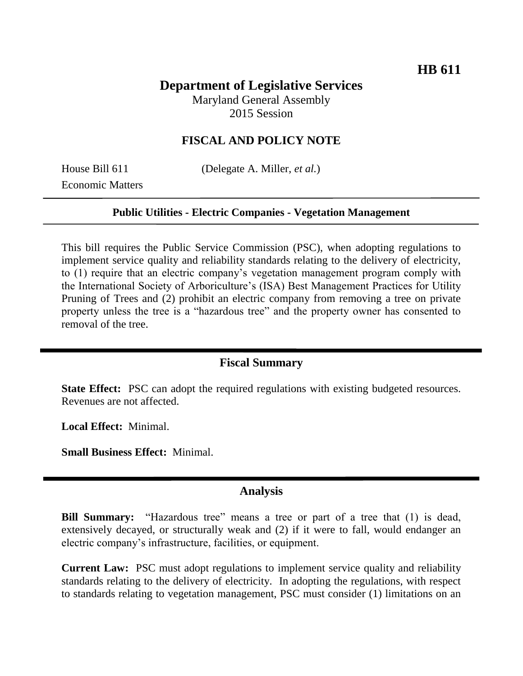# **Department of Legislative Services**

Maryland General Assembly 2015 Session

## **FISCAL AND POLICY NOTE**

Economic Matters

House Bill 611 (Delegate A. Miller, *et al.*)

#### **Public Utilities - Electric Companies - Vegetation Management**

This bill requires the Public Service Commission (PSC), when adopting regulations to implement service quality and reliability standards relating to the delivery of electricity, to (1) require that an electric company's vegetation management program comply with the International Society of Arboriculture's (ISA) Best Management Practices for Utility Pruning of Trees and (2) prohibit an electric company from removing a tree on private property unless the tree is a "hazardous tree" and the property owner has consented to removal of the tree.

## **Fiscal Summary**

**State Effect:** PSC can adopt the required regulations with existing budgeted resources. Revenues are not affected.

**Local Effect:** Minimal.

**Small Business Effect:** Minimal.

#### **Analysis**

**Bill Summary:** "Hazardous tree" means a tree or part of a tree that (1) is dead, extensively decayed, or structurally weak and (2) if it were to fall, would endanger an electric company's infrastructure, facilities, or equipment.

**Current Law:** PSC must adopt regulations to implement service quality and reliability standards relating to the delivery of electricity. In adopting the regulations, with respect to standards relating to vegetation management, PSC must consider (1) limitations on an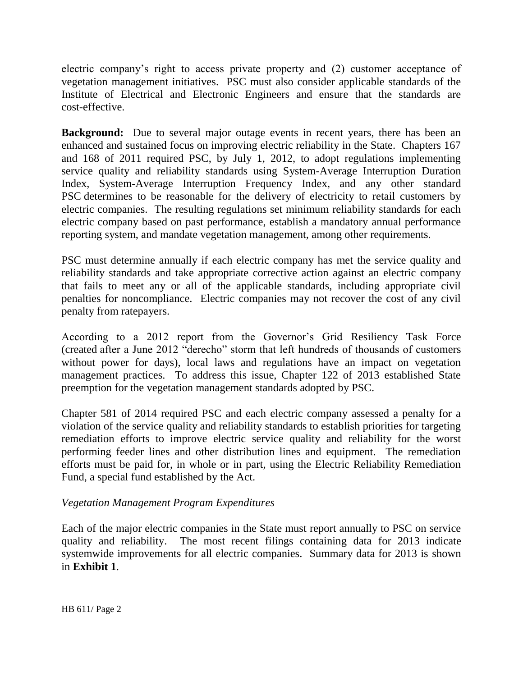electric company's right to access private property and (2) customer acceptance of vegetation management initiatives. PSC must also consider applicable standards of the Institute of Electrical and Electronic Engineers and ensure that the standards are cost-effective.

**Background:** Due to several major outage events in recent years, there has been an enhanced and sustained focus on improving electric reliability in the State. Chapters 167 and 168 of 2011 required PSC, by July 1, 2012, to adopt regulations implementing service quality and reliability standards using System-Average Interruption Duration Index, System-Average Interruption Frequency Index, and any other standard PSC determines to be reasonable for the delivery of electricity to retail customers by electric companies. The resulting regulations set minimum reliability standards for each electric company based on past performance, establish a mandatory annual performance reporting system, and mandate vegetation management, among other requirements.

PSC must determine annually if each electric company has met the service quality and reliability standards and take appropriate corrective action against an electric company that fails to meet any or all of the applicable standards, including appropriate civil penalties for noncompliance. Electric companies may not recover the cost of any civil penalty from ratepayers.

According to a 2012 report from the Governor's Grid Resiliency Task Force (created after a June 2012 "derecho" storm that left hundreds of thousands of customers without power for days), local laws and regulations have an impact on vegetation management practices. To address this issue, Chapter 122 of 2013 established State preemption for the vegetation management standards adopted by PSC.

Chapter 581 of 2014 required PSC and each electric company assessed a penalty for a violation of the service quality and reliability standards to establish priorities for targeting remediation efforts to improve electric service quality and reliability for the worst performing feeder lines and other distribution lines and equipment. The remediation efforts must be paid for, in whole or in part, using the Electric Reliability Remediation Fund, a special fund established by the Act.

## *Vegetation Management Program Expenditures*

Each of the major electric companies in the State must report annually to PSC on service quality and reliability. The most recent filings containing data for 2013 indicate systemwide improvements for all electric companies. Summary data for 2013 is shown in **Exhibit 1**.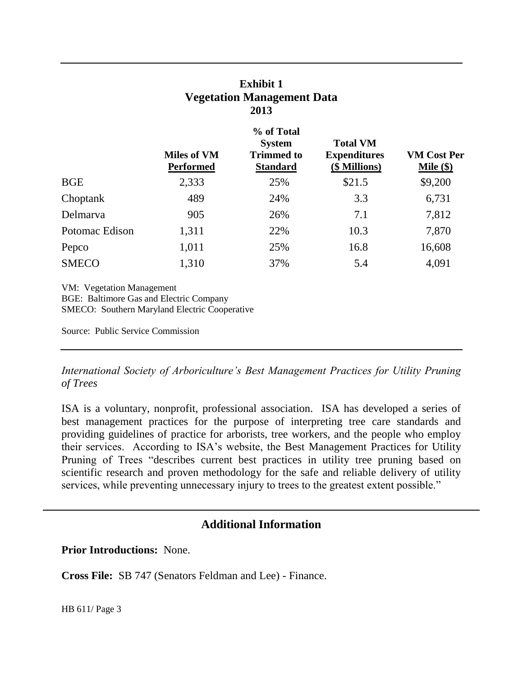| <b>Exhibit 1</b>                  |
|-----------------------------------|
| <b>Vegetation Management Data</b> |
| 2013                              |

|                                                                                                                                     | <b>Miles of VM</b><br><b>Performed</b> | % of Total<br><b>System</b><br><b>Trimmed to</b><br><b>Standard</b> | <b>Total VM</b><br><b>Expenditures</b><br>(\$ Millions) | <b>VM Cost Per</b><br>Mile $(\$)$ |
|-------------------------------------------------------------------------------------------------------------------------------------|----------------------------------------|---------------------------------------------------------------------|---------------------------------------------------------|-----------------------------------|
| <b>BGE</b>                                                                                                                          | 2,333                                  | 25%                                                                 | \$21.5                                                  | \$9,200                           |
| Choptank                                                                                                                            | 489                                    | 24%                                                                 | 3.3                                                     | 6,731                             |
| Delmarya                                                                                                                            | 905                                    | 26%                                                                 | 7.1                                                     | 7,812                             |
| Potomac Edison                                                                                                                      | 1,311                                  | 22%                                                                 | 10.3                                                    | 7,870                             |
| Pepco                                                                                                                               | 1,011                                  | 25%                                                                 | 16.8                                                    | 16,608                            |
| <b>SMECO</b>                                                                                                                        | 1,310                                  | 37%                                                                 | 5.4                                                     | 4,091                             |
| <b>VM:</b> Vegetation Management<br>BGE: Baltimore Gas and Electric Company<br><b>SMECO:</b> Southern Maryland Electric Cooperative |                                        |                                                                     |                                                         |                                   |
| Source: Public Service Commission                                                                                                   |                                        |                                                                     |                                                         |                                   |

*International Society of Arboriculture's Best Management Practices for Utility Pruning of Trees*

ISA is a voluntary, nonprofit, professional association. ISA has developed a series of best management practices for the purpose of interpreting tree care standards and providing guidelines of practice for arborists, tree workers, and the people who employ their services. According to ISA's website, the Best Management Practices for Utility Pruning of Trees "describes current best practices in utility tree pruning based on scientific research and proven methodology for the safe and reliable delivery of utility services, while preventing unnecessary injury to trees to the greatest extent possible."

## **Additional Information**

**Prior Introductions:** None.

**Cross File:** SB 747 (Senators Feldman and Lee) - Finance.